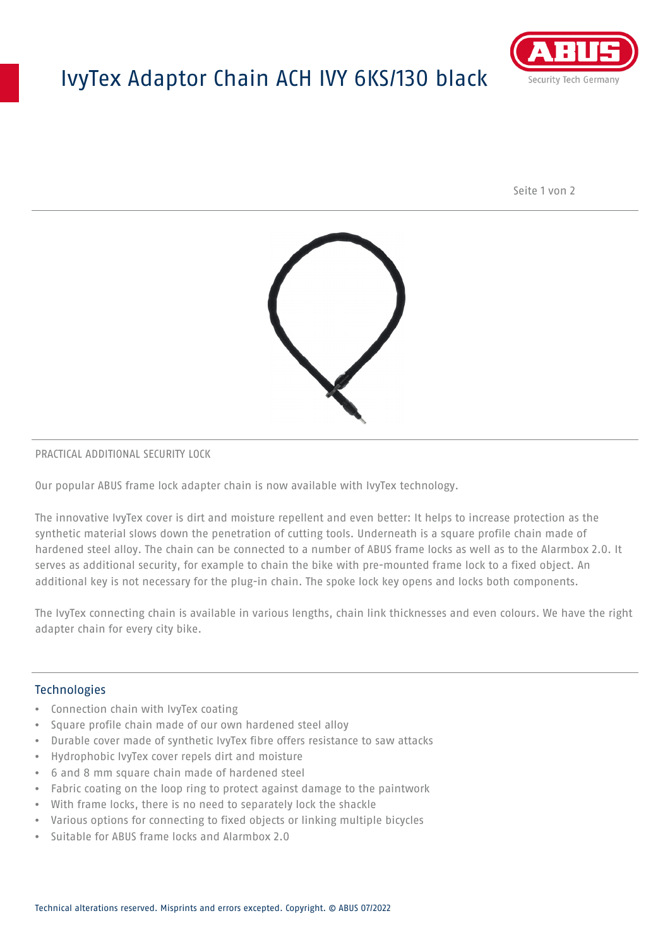## IvyTex Adaptor Chain ACH IVY 6KS/130 black



Seite 1 von 2



### PRACTICAL ADDITIONAL SECURITY LOCK

Our popular ABUS frame lock adapter chain is now available with IvyTex technology.

The innovative IvyTex cover is dirt and moisture repellent and even better: It helps to increase protection as the synthetic material slows down the penetration of cutting tools. Underneath is a square profile chain made of hardened steel alloy. The chain can be connected to a number of ABUS frame locks as well as to the Alarmbox 2.0. It serves as additional security, for example to chain the bike with pre-mounted frame lock to a fixed object. An additional key is not necessary for the plug-in chain. The spoke lock key opens and locks both components.

The IvyTex connecting chain is available in various lengths, chain link thicknesses and even colours. We have the right adapter chain for every city bike.

### Technologies

- Connection chain with IvyTex coating
- Square profile chain made of our own hardened steel alloy
- Durable cover made of synthetic IvyTex fibre offers resistance to saw attacks
- Hydrophobic IvyTex cover repels dirt and moisture
- 6 and 8 mm square chain made of hardened steel
- Fabric coating on the loop ring to protect against damage to the paintwork
- With frame locks, there is no need to separately lock the shackle
- Various options for connecting to fixed objects or linking multiple bicycles
- Suitable for ABUS frame locks and Alarmbox 2.0